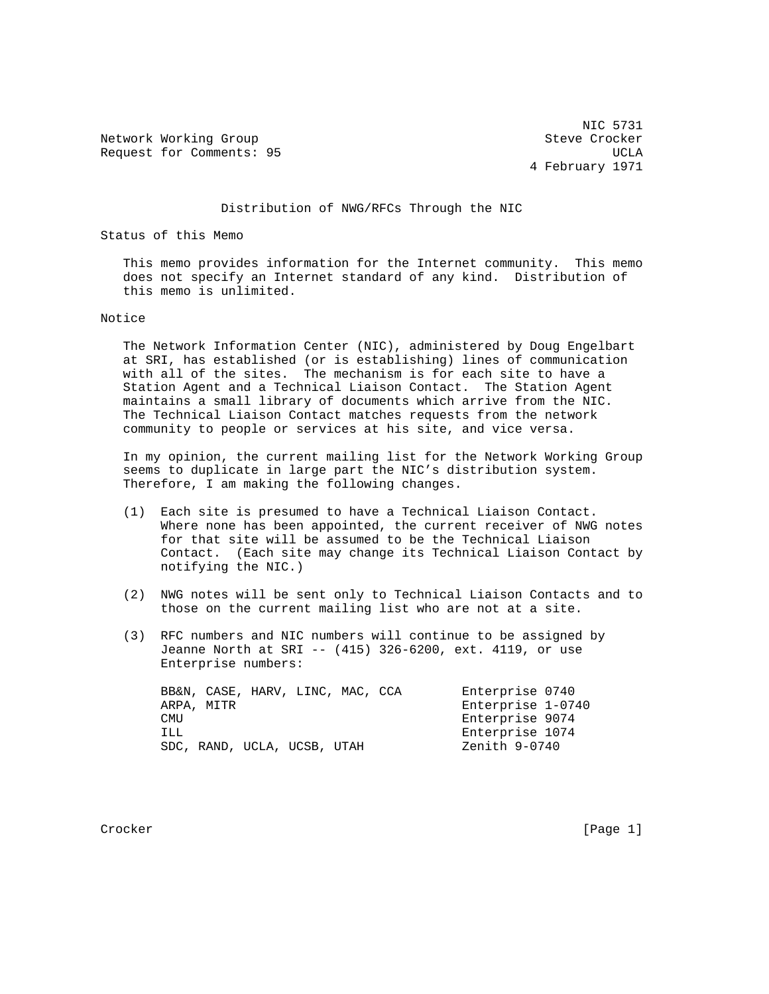Network Working Group Steve Crocker Request for Comments: 95 UCLA

NIC 5731 4 February 1971

## Distribution of NWG/RFCs Through the NIC

Status of this Memo

 This memo provides information for the Internet community. This memo does not specify an Internet standard of any kind. Distribution of this memo is unlimited.

## Notice

 The Network Information Center (NIC), administered by Doug Engelbart at SRI, has established (or is establishing) lines of communication with all of the sites. The mechanism is for each site to have a Station Agent and a Technical Liaison Contact. The Station Agent maintains a small library of documents which arrive from the NIC. The Technical Liaison Contact matches requests from the network community to people or services at his site, and vice versa.

 In my opinion, the current mailing list for the Network Working Group seems to duplicate in large part the NIC's distribution system. Therefore, I am making the following changes.

- (1) Each site is presumed to have a Technical Liaison Contact. Where none has been appointed, the current receiver of NWG notes for that site will be assumed to be the Technical Liaison Contact. (Each site may change its Technical Liaison Contact by notifying the NIC.)
- (2) NWG notes will be sent only to Technical Liaison Contacts and to those on the current mailing list who are not at a site.
- (3) RFC numbers and NIC numbers will continue to be assigned by Jeanne North at SRI -- (415) 326-6200, ext. 4119, or use Enterprise numbers:

|            | BB&N, CASE, HARV, LINC, MAC, CCA |  | Enterprise 0740   |  |
|------------|----------------------------------|--|-------------------|--|
| ARPA, MITR |                                  |  | Enterprise 1-0740 |  |
| CMU        |                                  |  | Enterprise 9074   |  |
| TTJL.      |                                  |  | Enterprise 1074   |  |
|            | SDC, RAND, UCLA, UCSB, UTAH      |  | Zenith 9-0740     |  |
|            |                                  |  |                   |  |

Crocker [Page 1]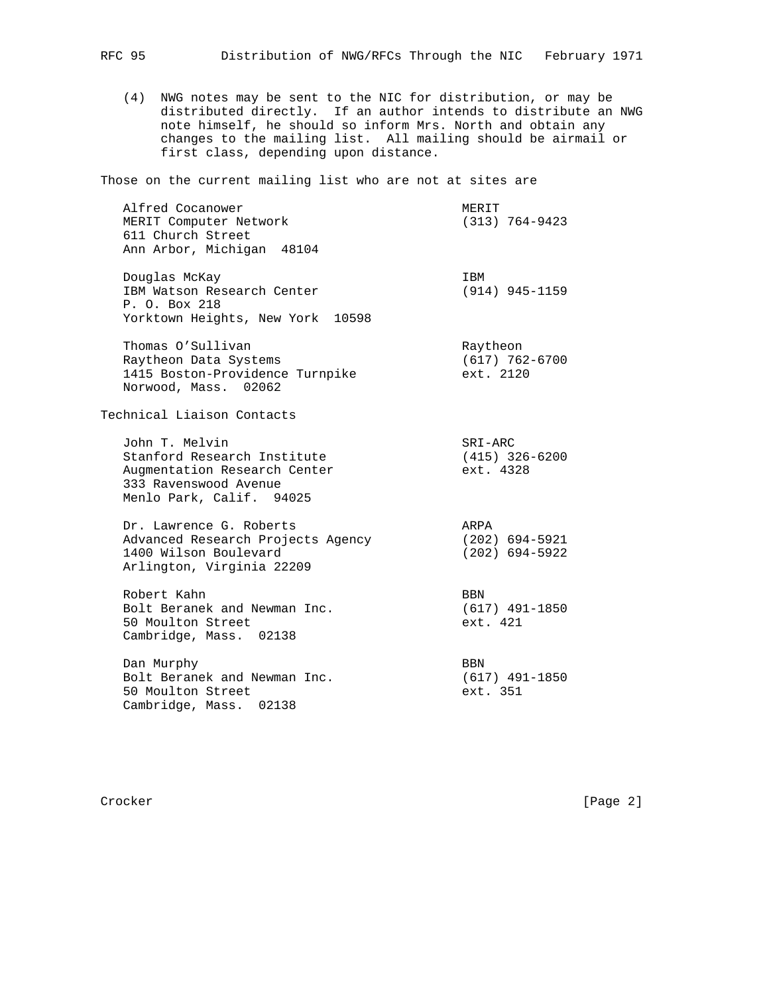(4) NWG notes may be sent to the NIC for distribution, or may be distributed directly. If an author intends to distribute an NWG note himself, he should so inform Mrs. North and obtain any changes to the mailing list. All mailing should be airmail or first class, depending upon distance.

Those on the current mailing list who are not at sites are

| Alfred Cocanower<br>MERIT Computer Network<br>611 Church Street<br>Ann Arbor, Michigan 48104                                       | MERIT<br>$(313) 764 - 9423$                  |
|------------------------------------------------------------------------------------------------------------------------------------|----------------------------------------------|
| Douglas McKay<br>IBM Watson Research Center<br>P. O. Box 218<br>Yorktown Heights, New York 10598                                   | IBM<br>$(914) 945 - 1159$                    |
| Thomas O'Sullivan<br>Raytheon Data Systems<br>1415 Boston-Providence Turnpike<br>Norwood, Mass. 02062                              | Raytheon<br>$(617)$ 762-6700<br>ext. 2120    |
| Technical Liaison Contacts                                                                                                         |                                              |
| John T. Melvin<br>Stanford Research Institute<br>Augmentation Research Center<br>333 Ravenswood Avenue<br>Menlo Park, Calif. 94025 | SRI-ARC<br>$(415)$ 326-6200<br>ext. 4328     |
| Dr. Lawrence G. Roberts<br>Advanced Research Projects Agency<br>1400 Wilson Boulevard<br>Arlington, Virginia 22209                 | ARPA<br>$(202)$ 694-5921<br>$(202)$ 694-5922 |
| Robert Kahn<br>Bolt Beranek and Newman Inc.<br>50 Moulton Street<br>Cambridge, Mass. 02138                                         | BBN<br>$(617)$ 491-1850<br>ext. 421          |
| Dan Murphy<br>Bolt Beranek and Newman Inc.<br>50 Moulton Street<br>Cambridge, Mass. 02138                                          | BBN<br>$(617)$ 491-1850<br>ext. 351          |

Crocker [Page 2]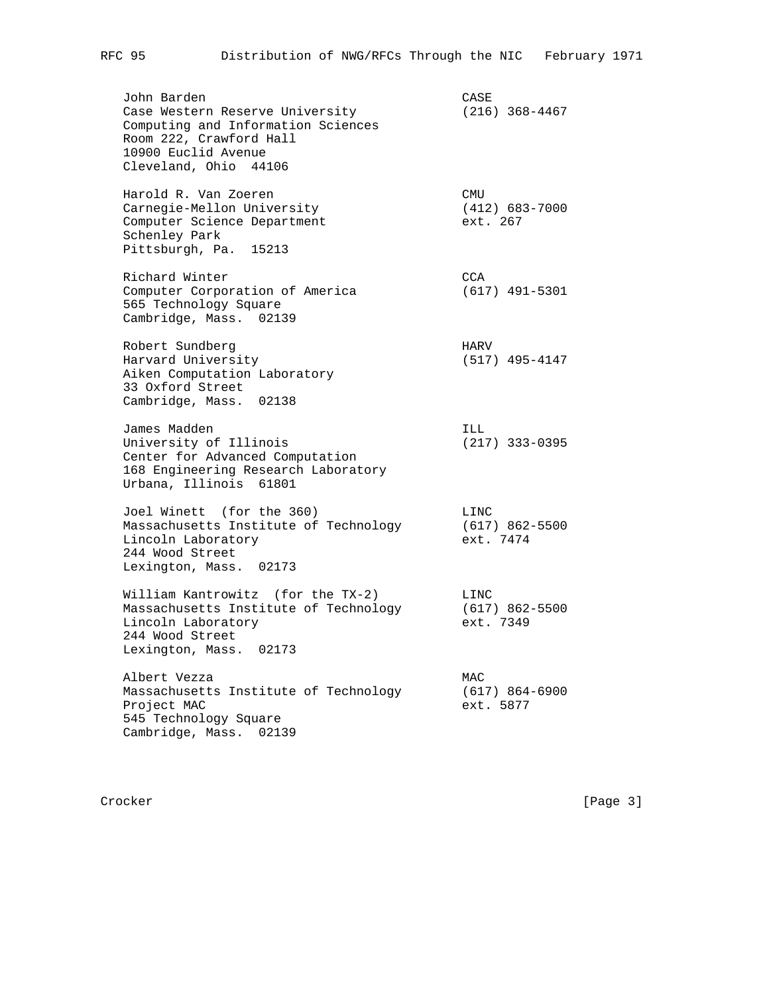John Barden CASE Case Western Reserve University (216) 368-4467 Computing and Information Sciences Room 222, Crawford Hall 10900 Euclid Avenue Cleveland, Ohio 44106 Harold R. Van Zoeren CMU Carnegie-Mellon University (412) 683-7000 Computer Science Department ext. 267 Schenley Park Pittsburgh, Pa. 15213 Richard Winter **CCA**  Computer Corporation of America (617) 491-5301 565 Technology Square Cambridge, Mass. 02139 Robert Sundberg entertainment and the HARV Harvard University (517) 495-4147 Aiken Computation Laboratory 33 Oxford Street Cambridge, Mass. 02138 James Madden ILL University of Illinois (217) 333-0395 Center for Advanced Computation 168 Engineering Research Laboratory Urbana, Illinois 61801 Joel Winett (for the 360) COMEX CONSTRUES Massachusetts Institute of Technology (617) 862-5500 Lincoln Laboratory ext. 7474 244 Wood Street Lexington, Mass. 02173 William Kantrowitz (for the TX-2) LINC Massachusetts Institute of Technology (617) 862-5500 Lincoln Laboratory ext. 7349 244 Wood Street Lexington, Mass. 02173 Albert Vezza  $MAC$  Massachusetts Institute of Technology (617) 864-6900 Project MAC **ext.** 5877 545 Technology Square Cambridge, Mass. 02139

Crocker [Page 3]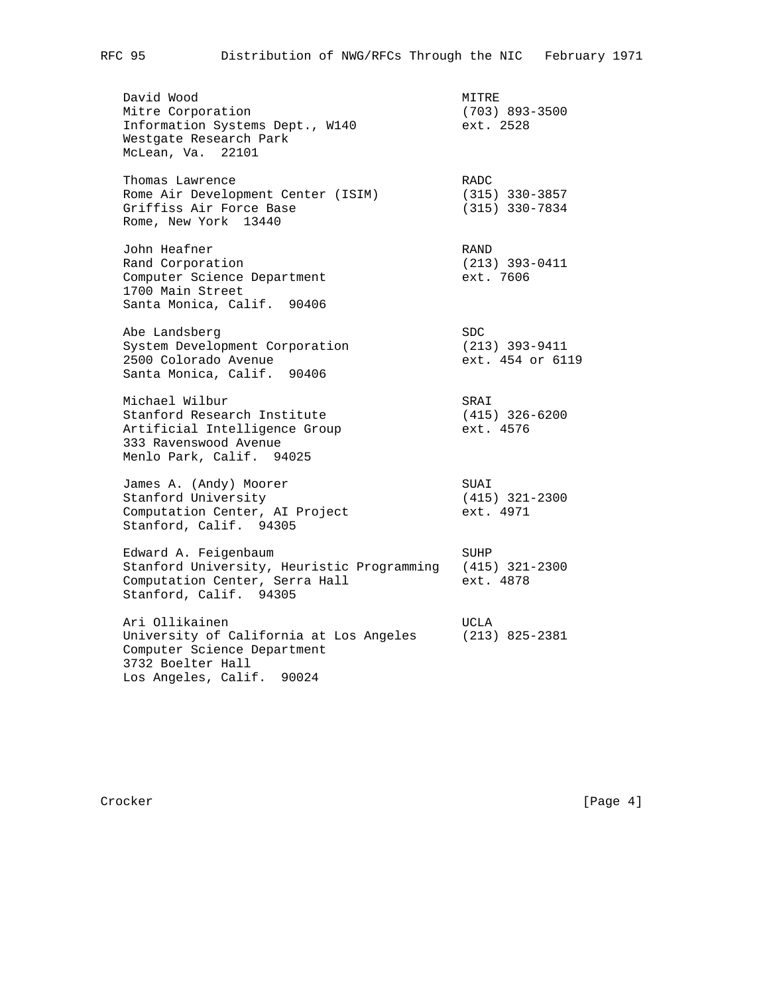| David Wood<br>Mitre Corporation<br>Information Systems Dept., W140<br>Westgate Research Park<br>McLean, Va. 22101                             | MITRE<br>$(703)$ 893-3500<br>ext. 2528             |
|-----------------------------------------------------------------------------------------------------------------------------------------------|----------------------------------------------------|
| Thomas Lawrence<br>Rome Air Development Center (ISIM)<br>Griffiss Air Force Base<br>Rome, New York 13440                                      | RADC<br>$(315)$ 330-3857<br>$(315)$ 330-7834       |
| John Heafner<br>Rand Corporation<br>Computer Science Department<br>1700 Main Street<br>Santa Monica, Calif. 90406                             | RAND<br>$(213)$ 393-0411<br>ext. 7606              |
| Abe Landsberg<br>System Development Corporation<br>2500 Colorado Avenue<br>Santa Monica, Calif. 90406                                         | <b>SDC</b><br>$(213)$ 393-9411<br>ext. 454 or 6119 |
| Michael Wilbur<br>Stanford Research Institute<br>Artificial Intelligence Group<br>333 Ravenswood Avenue<br>Menlo Park, Calif. 94025           | SRAI<br>$(415)$ 326-6200<br>ext. 4576              |
| James A. (Andy) Moorer<br>Stanford University<br>Computation Center, AI Project<br>Stanford, Calif. 94305                                     | SUAI<br>$(415)$ 321-2300<br>ext. 4971              |
| Edward A. Feigenbaum<br>Stanford University, Heuristic Programming (415) 321-2300<br>Computation Center, Serra Hall<br>Stanford, Calif. 94305 | SUHP<br>ext. 4878                                  |
| Ari Ollikainen<br>University of California at Los Angeles<br>Computer Science Department<br>3732 Boelter Hall<br>Los Angeles, Calif. 90024    | UCLA<br>$(213) 825 - 2381$                         |